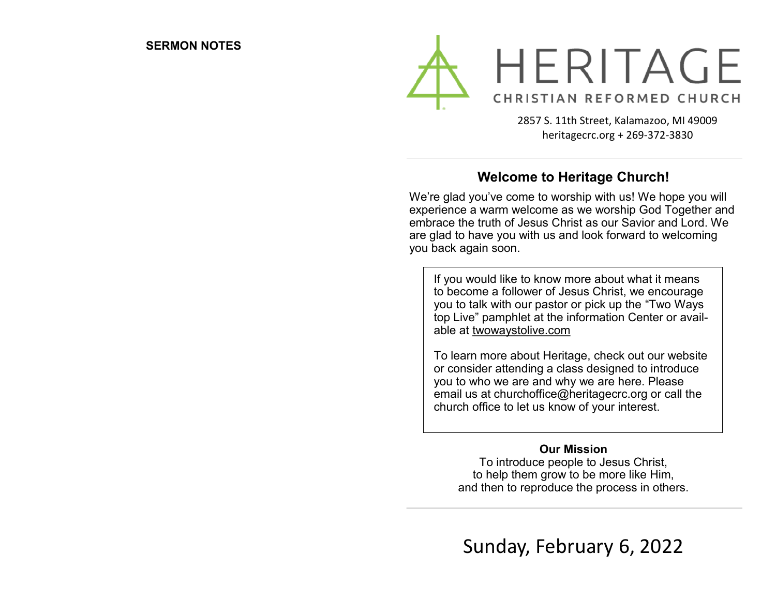

2857 S. 11th Street, Kalamazoo, MI 49009 heritagecrc.org + 269-372-3830

## **Welcome to Heritage Church!**

We're glad you've come to worship with us! We hope you will experience a warm welcome as we worship God Together and embrace the truth of Jesus Christ as our Savior and Lord. We are glad to have you with us and look forward to welcoming you back again soon.

If you would like to know more about what it means to become a follower of Jesus Christ, we encourage you to talk with our pastor or pick up the "Two Ways top Live" pamphlet at the information Center or available at twowaystolive.com

To learn more about Heritage, check out our website or consider attending a class designed to introduce you to who we are and why we are here. Please email us at churchoffice@heritagecrc.org or call the church office to let us know of your interest.

### **Our Mission**

To introduce people to Jesus Christ, to help them grow to be more like Him, and then to reproduce the process in others.

Sunday, February 6, 2022